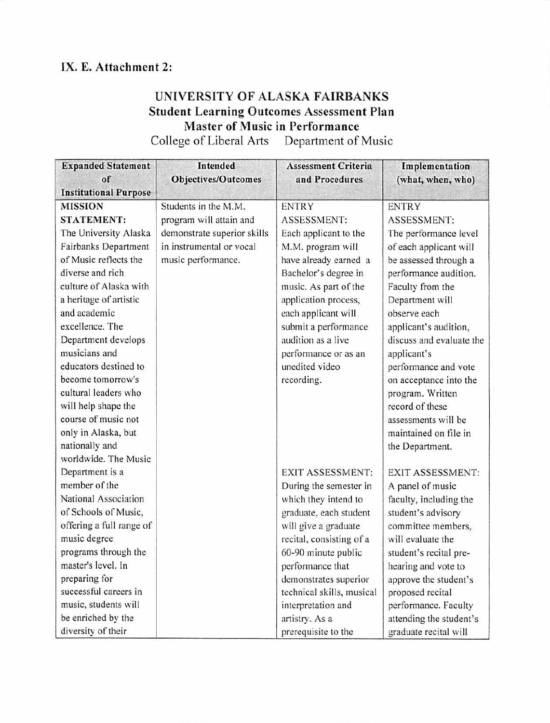## IX. E. Attachment 2:

## UNIVERSITY OF ALASKA FAIRBANKS Student Learning Outcomes Assessment Plan Master of Music in Performance

College of Liberal Arts Department of Music

| <b>Expanded Statement</b>    | <b>Intended</b>             | <b>Assessment Criteria</b> | Implementation           |
|------------------------------|-----------------------------|----------------------------|--------------------------|
| of                           | <b>Objectives/Outcomes</b>  | and Procedures             | (what, when, who)        |
| <b>Institutional Purpose</b> |                             |                            |                          |
| <b>MISSION</b>               | Students in the M.M.        | <b>ENTRY</b>               | <b>ENTRY</b>             |
| STATEMENT:                   | program will attain and     | ASSESSMENT:                | <b>ASSESSMENT:</b>       |
| The University Alaska        | demonstrate superior skills | Each applicant to the      | The performance level    |
| Fairbanks Department         | in instrumental or vocal    | M.M. program will          | of each applicant will   |
| of Music reflects the        | music performance.          | have already earned a      | be assessed through a    |
| diverse and rich             |                             | Bachelor's degree in       | performance audition.    |
| culture of Alaska with       |                             | music. As part of the      | Faculty from the         |
| a heritage of artistic       |                             | application process,       | Department will          |
| and academic                 |                             | each applicant will        | observe each             |
| excellence. The              |                             | submit a performance       | applicant's audition,    |
| Department develops          |                             | audition as a live         | discuss and evaluate the |
| musicians and                |                             | performance or as an       | applicant's              |
| educators destined to        |                             | unedited video             | performance and vote     |
| become tomorrow's            |                             | recording.                 | on acceptance into the   |
| cultural leaders who         |                             |                            | program. Written         |
| will help shape the          |                             |                            | record of these          |
| course of music not          |                             |                            | assessments will be      |
| only in Alaska, but          |                             |                            | maintained on file in    |
| nationally and               |                             |                            | the Department.          |
| worldwide. The Music         |                             |                            |                          |
| Department is a              |                             | <b>EXIT ASSESSMENT:</b>    | <b>EXIT ASSESSMENT:</b>  |
| member of the                |                             | During the semester in     | A panel of music         |
| National Association         |                             | which they intend to       | faculty, including the   |
| of Schools of Music,         |                             | graduate, each student     | student's advisory       |
| offering a full range of     |                             | will give a graduate       | committee members,       |
| music degree                 |                             | recital, consisting of a   | will evaluate the        |
| programs through the         |                             | 60-90 minute public        | student's recital pre-   |
| master's level. In           |                             | performance that           | hearing and vote to      |
| preparing for                |                             | demonstrates superior      | approve the student's    |
| successful careers in        |                             | technical skills, musical  | proposed recital         |
| music, students will         |                             | interpretation and         | performance. Faculty     |
| be enriched by the           |                             | artistry. As a             | attending the student's  |
| diversity of their           |                             | prerequisite to the        | graduate recital will    |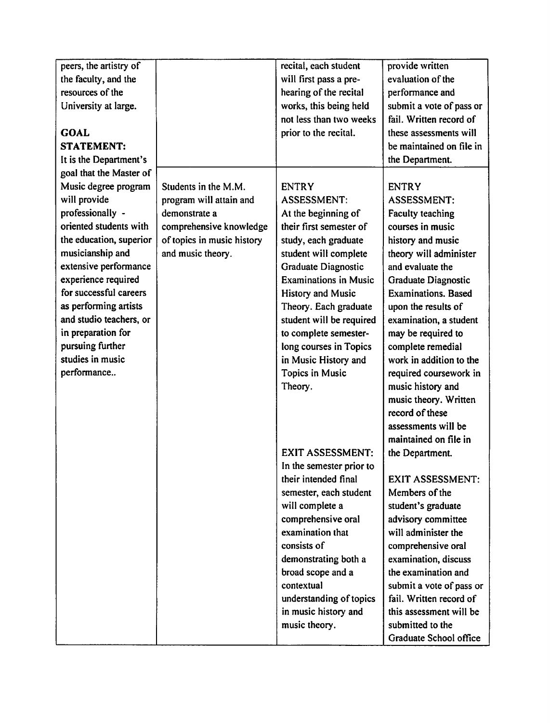| peers, the artistry of  |                            | recital, each student                                                                                                                                                                                                                                                                                                                          | provide written                                                                                                                                                                                                                                                                                                                                                                                                                                              |
|-------------------------|----------------------------|------------------------------------------------------------------------------------------------------------------------------------------------------------------------------------------------------------------------------------------------------------------------------------------------------------------------------------------------|--------------------------------------------------------------------------------------------------------------------------------------------------------------------------------------------------------------------------------------------------------------------------------------------------------------------------------------------------------------------------------------------------------------------------------------------------------------|
| the faculty, and the    |                            | will first pass a pre-                                                                                                                                                                                                                                                                                                                         | evaluation of the                                                                                                                                                                                                                                                                                                                                                                                                                                            |
| resources of the        |                            | hearing of the recital                                                                                                                                                                                                                                                                                                                         | performance and                                                                                                                                                                                                                                                                                                                                                                                                                                              |
| University at large.    |                            | works, this being held                                                                                                                                                                                                                                                                                                                         | submit a vote of pass or                                                                                                                                                                                                                                                                                                                                                                                                                                     |
|                         |                            | not less than two weeks                                                                                                                                                                                                                                                                                                                        | fail. Written record of                                                                                                                                                                                                                                                                                                                                                                                                                                      |
| <b>GOAL</b>             |                            | prior to the recital.                                                                                                                                                                                                                                                                                                                          | these assessments will                                                                                                                                                                                                                                                                                                                                                                                                                                       |
| <b>STATEMENT:</b>       |                            |                                                                                                                                                                                                                                                                                                                                                | be maintained on file in                                                                                                                                                                                                                                                                                                                                                                                                                                     |
| It is the Department's  |                            |                                                                                                                                                                                                                                                                                                                                                | the Department.                                                                                                                                                                                                                                                                                                                                                                                                                                              |
| goal that the Master of |                            |                                                                                                                                                                                                                                                                                                                                                |                                                                                                                                                                                                                                                                                                                                                                                                                                                              |
| Music degree program    | Students in the M.M.       | <b>ENTRY</b>                                                                                                                                                                                                                                                                                                                                   | <b>ENTRY</b>                                                                                                                                                                                                                                                                                                                                                                                                                                                 |
| will provide            | program will attain and    | <b>ASSESSMENT:</b>                                                                                                                                                                                                                                                                                                                             | <b>ASSESSMENT:</b>                                                                                                                                                                                                                                                                                                                                                                                                                                           |
| professionally -        | demonstrate a              | At the beginning of                                                                                                                                                                                                                                                                                                                            | Faculty teaching                                                                                                                                                                                                                                                                                                                                                                                                                                             |
| oriented students with  | comprehensive knowledge    | their first semester of                                                                                                                                                                                                                                                                                                                        | courses in music                                                                                                                                                                                                                                                                                                                                                                                                                                             |
| the education, superior | of topics in music history | study, each graduate                                                                                                                                                                                                                                                                                                                           | history and music                                                                                                                                                                                                                                                                                                                                                                                                                                            |
| musicianship and        | and music theory.          | student will complete                                                                                                                                                                                                                                                                                                                          | theory will administer                                                                                                                                                                                                                                                                                                                                                                                                                                       |
| extensive performance   |                            | Graduate Diagnostic                                                                                                                                                                                                                                                                                                                            | and evaluate the                                                                                                                                                                                                                                                                                                                                                                                                                                             |
| experience required     |                            | <b>Examinations in Music</b>                                                                                                                                                                                                                                                                                                                   | Graduate Diagnostic                                                                                                                                                                                                                                                                                                                                                                                                                                          |
| for successful careers  |                            | History and Music                                                                                                                                                                                                                                                                                                                              | <b>Examinations</b> , Based                                                                                                                                                                                                                                                                                                                                                                                                                                  |
| as performing artists   |                            | Theory. Each graduate                                                                                                                                                                                                                                                                                                                          | upon the results of                                                                                                                                                                                                                                                                                                                                                                                                                                          |
| and studio teachers, or |                            | student will be required                                                                                                                                                                                                                                                                                                                       | examination, a student                                                                                                                                                                                                                                                                                                                                                                                                                                       |
| in preparation for      |                            | to complete semester-                                                                                                                                                                                                                                                                                                                          | may be required to                                                                                                                                                                                                                                                                                                                                                                                                                                           |
| pursuing further        |                            | long courses in Topics                                                                                                                                                                                                                                                                                                                         | complete remedial                                                                                                                                                                                                                                                                                                                                                                                                                                            |
| studies in music        |                            |                                                                                                                                                                                                                                                                                                                                                | work in addition to the                                                                                                                                                                                                                                                                                                                                                                                                                                      |
|                         |                            |                                                                                                                                                                                                                                                                                                                                                |                                                                                                                                                                                                                                                                                                                                                                                                                                                              |
|                         |                            |                                                                                                                                                                                                                                                                                                                                                |                                                                                                                                                                                                                                                                                                                                                                                                                                                              |
|                         |                            |                                                                                                                                                                                                                                                                                                                                                |                                                                                                                                                                                                                                                                                                                                                                                                                                                              |
|                         |                            |                                                                                                                                                                                                                                                                                                                                                | record of these                                                                                                                                                                                                                                                                                                                                                                                                                                              |
|                         |                            |                                                                                                                                                                                                                                                                                                                                                |                                                                                                                                                                                                                                                                                                                                                                                                                                                              |
|                         |                            |                                                                                                                                                                                                                                                                                                                                                |                                                                                                                                                                                                                                                                                                                                                                                                                                                              |
|                         |                            |                                                                                                                                                                                                                                                                                                                                                |                                                                                                                                                                                                                                                                                                                                                                                                                                                              |
|                         |                            |                                                                                                                                                                                                                                                                                                                                                |                                                                                                                                                                                                                                                                                                                                                                                                                                                              |
|                         |                            | their intended final                                                                                                                                                                                                                                                                                                                           |                                                                                                                                                                                                                                                                                                                                                                                                                                                              |
|                         |                            |                                                                                                                                                                                                                                                                                                                                                |                                                                                                                                                                                                                                                                                                                                                                                                                                                              |
|                         |                            |                                                                                                                                                                                                                                                                                                                                                |                                                                                                                                                                                                                                                                                                                                                                                                                                                              |
|                         |                            |                                                                                                                                                                                                                                                                                                                                                |                                                                                                                                                                                                                                                                                                                                                                                                                                                              |
|                         |                            |                                                                                                                                                                                                                                                                                                                                                |                                                                                                                                                                                                                                                                                                                                                                                                                                                              |
|                         |                            |                                                                                                                                                                                                                                                                                                                                                |                                                                                                                                                                                                                                                                                                                                                                                                                                                              |
|                         |                            |                                                                                                                                                                                                                                                                                                                                                |                                                                                                                                                                                                                                                                                                                                                                                                                                                              |
|                         |                            |                                                                                                                                                                                                                                                                                                                                                |                                                                                                                                                                                                                                                                                                                                                                                                                                                              |
|                         |                            |                                                                                                                                                                                                                                                                                                                                                |                                                                                                                                                                                                                                                                                                                                                                                                                                                              |
|                         |                            |                                                                                                                                                                                                                                                                                                                                                |                                                                                                                                                                                                                                                                                                                                                                                                                                                              |
|                         |                            |                                                                                                                                                                                                                                                                                                                                                |                                                                                                                                                                                                                                                                                                                                                                                                                                                              |
|                         |                            |                                                                                                                                                                                                                                                                                                                                                |                                                                                                                                                                                                                                                                                                                                                                                                                                                              |
|                         |                            |                                                                                                                                                                                                                                                                                                                                                |                                                                                                                                                                                                                                                                                                                                                                                                                                                              |
| performance             |                            | in Music History and<br>Topics in Music<br>Theory.<br><b>EXIT ASSESSMENT:</b><br>In the semester prior to<br>semester, each student<br>will complete a<br>comprehensive oral<br>examination that<br>consists of<br>demonstrating both a<br>broad scope and a<br>contextual<br>understanding of topics<br>in music history and<br>music theory. | required coursework in<br>music history and<br>music theory. Written<br>assessments will be<br>maintained on file in<br>the Department.<br><b>EXIT ASSESSMENT:</b><br>Members of the<br>student's graduate<br>advisory committee<br>will administer the<br>comprehensive oral<br>examination, discuss<br>the examination and<br>submit a vote of pass or<br>fail. Written record of<br>this assessment will be<br>submitted to the<br>Graduate School office |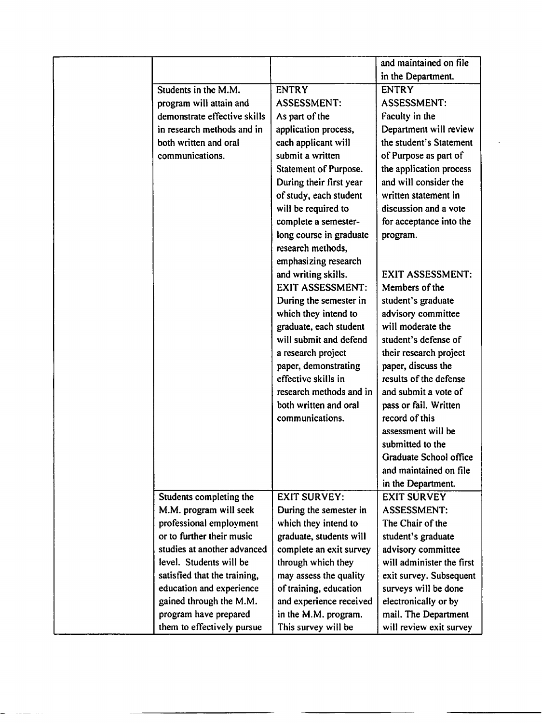|                              |                         | and maintained on file    |
|------------------------------|-------------------------|---------------------------|
|                              |                         | in the Department.        |
| Students in the M.M.         | <b>ENTRY</b>            | <b>ENTRY</b>              |
| program will attain and      | <b>ASSESSMENT:</b>      | <b>ASSESSMENT:</b>        |
| demonstrate effective skills | As part of the          | Faculty in the            |
| in research methods and in   | application process,    | Department will review    |
| both written and oral        | each applicant will     | the student's Statement   |
| communications.              | submit a written        | of Purpose as part of     |
|                              | Statement of Purpose.   | the application process   |
|                              | During their first year | and will consider the     |
|                              | of study, each student  | written statement in      |
|                              | will be required to     | discussion and a vote     |
|                              | complete a semester-    | for acceptance into the   |
|                              | long course in graduate | program.                  |
|                              | research methods,       |                           |
|                              | emphasizing research    |                           |
|                              | and writing skills.     | <b>EXIT ASSESSMENT:</b>   |
|                              | <b>EXIT ASSESSMENT:</b> | Members of the            |
|                              | During the semester in  | student's graduate        |
|                              | which they intend to    | advisory committee        |
|                              | graduate, each student  | will moderate the         |
|                              | will submit and defend  | student's defense of      |
|                              | a research project      | their research project    |
|                              | paper, demonstrating    | paper, discuss the        |
|                              | effective skills in     | results of the defense    |
|                              | research methods and in | and submit a vote of      |
|                              | both written and oral   | pass or fail. Written     |
|                              | communications.         | record of this            |
|                              |                         | assessment will be        |
|                              |                         | submitted to the          |
|                              |                         | Graduate School office    |
|                              |                         | and maintained on file    |
|                              |                         | in the Department.        |
| Students completing the      | <b>EXIT SURVEY:</b>     | <b>EXIT SURVEY</b>        |
| M.M. program will seek       | During the semester in  | <b>ASSESSMENT:</b>        |
| professional employment      | which they intend to    | The Chair of the          |
| or to further their music    | graduate, students will | student's graduate        |
| studies at another advanced  | complete an exit survey | advisory committee        |
| level. Students will be      | through which they      | will administer the first |
| satisfied that the training, | may assess the quality  | exit survey. Subsequent   |
| education and experience     | of training, education  | surveys will be done      |
| gained through the M.M.      | and experience received | electronically or by      |
| program have prepared        | in the M.M. program.    | mail. The Department      |
| them to effectively pursue   | This survey will be     | will review exit survey   |

 $\frac{1}{\sqrt{2}}$ 

 $\sim 10^{-11}$